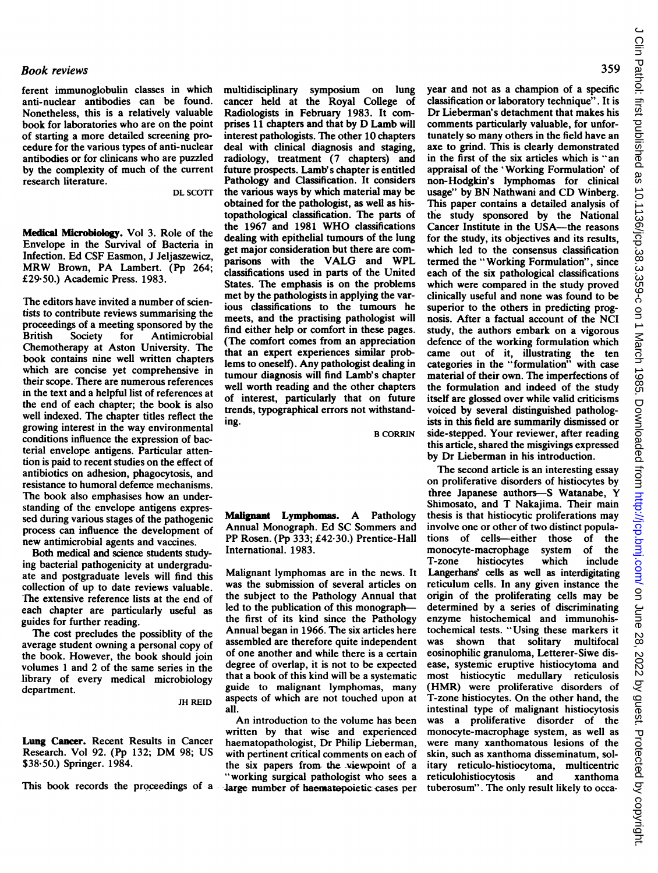### Book reviews

ferent immunoglobulin classes in which multidisciplinary symposium on lung anti-nuclear antibodies can be found. cancer held at the Royal College of Nonetheless, this is a relatively valuable Radiologists in February 1983. It com-Book reviews<br>
ferent immunoglobulin classes in which<br>
anti-nuclear antibodies can be found.<br>
Nonetheless, this is a relatively valuable<br>
book for laboratories who are on the point<br>
of starting a more detailed screening pro

Envelope in the Survival of Bacteria in Infection. Ed CSF Easmon, J Jeliaszewicz.

proceedings of a meeting sponsored by the find either help or comfort in these pages.<br>British Society for Antimicrobial (The comfort comes from an announcing Example respectively. The that an expert experiences similar prob-<br>book contains nine well written chapters lems to oneself). Any pathologist dealing in<br>which are concise vet comprehensive in in the text and a helpful list of references well worth reading and the other chapters in the text and a helpful list of references at the end of each chapter; the book is also trends, typographical errors not withstandwell indexed. The chapter titles reflect the ing. growing interest in the way environmental conditions influence the expression of bacterial envelope antigens. Particular attention is paid to recent studies on the effect of antibiotics on adhesion, phagocytosis, and resistance to humoral defenrce mechanisms. The book also emphasises how an understanding of the envelope antigens expresstatisting of the envelope unique of the pathogenic **Malignant** Lymphomas. A Pathology stage during various stages of the pathogenic  $\overline{R}$  annual Monograph. Ed SC Sommers and process can influence the development of Annual Monograph. Ed SC Sommers and<br>new antimicrobial gents and vaccines<br>P Rosen. (Pp 333; £42.30.) Prentice-Hall new antimicrobial agents and vaccines. PP Rosen. (Pp 333;<br>Both medical and science students study-<br>International. 1983.

Both medical and science students studying bacterial pathogenicity at undergradu-<br>ate and postgraduate levels will find this Malignant lymphomas are in the news. It ate and postgraduate levels will find this was the submission of several articles on collection of up to date reviews valuable.

the book. However, the book should join of one another and while there is a certain volumes 1 and 2 of the same series in the degree of overlap, it is not to be expected volumes 1 and 2 of the same series in the degree of overlap, it is not to be expected<br>library of every medical microbiology that a book of this kind will be a systematic library of every medical microbiology department.

anti-nuclear antibodies can be found. cancer held at the Royal College of book for laboratories who are on the point prises 11 chapters and that by D Lamb will of starting a more detailed screening pro-<br>interest pathologists. The other 10 chapters of starting a more detailed screening pro- interest pathologists. The other 10 chapters cedure for the various types of anti-nuclear deal with clinical diagnosis and staging. cedure for the various types of anti-nuclear deal with clinical diagnosis and staging, antibodies or for clinicans who are puzzled radiology, treatment (7 chapters) and antibodies or for clinicans who are puzzled radiology, treatment (7 chapters) and<br>by the complexity of much of the current future prospects. Lamb's chapter is entitled by the complexity of much of the current future prospects. Lamb's chapter is entitled<br>research literature.<br>Pathology and Classification. It considers Pathology and Classification. It considers<br>DL SCOTT the various ways by which material may be the various ways by which material may be obtained for the pathologist, as well as histopathological classification. The parts of<br>the 1967 and 1981 WHO classifications Medical Microbiology. Vol 3. Role of the the 1967 and 1981 WHO classifications get major consideration but there are comparisons with the VALG and WPL<br>MRW Brown, PA Lambert. (Pp 264; classifications used in parts of the United<br>£29\*50.) Academic Press. 1983. States. The emphasis is on the problems<br>met by the pathologists in applying the var-The editors have invited a number of scien-<br>tists to contribute reviews summarising the  $\frac{1}{\sqrt{2}}$  ious classifications to the tumours he meets, and the practising pathologist will British Society for Antimicrobial (The comfort comes from an appreciation Chemotherapy at Aston University. The that an expert experiences similar probtheir scope. There are numerous references well worth reading and the other chapters tumour diagnosis will find Lamb's chapter of interest, particularly that on future

B CORRIN

ate and postgraduate levels will find this Malignant lymphomas are in the news. It collection of up to date reviews valuable. Was the submission of several articles on The extensive reference lists at the end of the subjec each chapter are particularly useful as led to the publication of this monograph-<br>guides for further reading. the first of its kind since the Pathology the first of its kind since the Pathology<br>Annual began in 1966. The six articles here The cost precludes the possibility of the Annual began in 1966. The six articles here<br>parage student owning a parsonal copy of assembled are therefore quite independent average student owning a personal copy of assembled are therefore quite independent<br>the book. However, the book should join of one another and while there is a certain guide to malignant lymphomas, many JH REID aspects of which are not touched upon at all.

An introduction to the volume has been written by that wise and experienced Lung Cancer. Recent Results in Cancer haematopathologist, Dr Philip Lieberman, Research. Vol 92. (Pp 132; DM 98; US with pertinent critical comments on each of \$38.50.) Springer. 1984. the six papers from the viewpoint of a "working surgical pathologist who sees a This book records the proceedings of a large number of haematepoietic-cases per

year and not as a champion of a specific classification or laboratory technique". It is Dr Lieberman's detachment that makes his comments particularly valuable, for unfortunately so many others in the field have an axe to grind. This is clearly demonstrated in the first of the six articles which is "an appraisal of the 'Working Formulation' of non-Hodgkin's lymphomas for clinical usage" by BN Nathwani and CD Winberg. This paper contains a detailed analysis of the study sponsored by the National Cancer Institute in the USA-the reasons for the study, its objectives and its results, which led to the consensus classification termed the "Working Formulation", since each of the six pathological classifications which were compared in the study proved clinically useful and none was found to be superior to the others in predicting prognosis. After a factual account of the NCI study, the authors embark on a vigorous defence of the working formulation which came out of it, illustrating the ten categories in the "formulation" with case material of their own. The imperfections of the formulation and indeed of the study itself are glossed over while valid criticisms voiced by several distinguished pathologists in this field are summarily dismissed or side-stepped. Your reviewer, after reading this article, shared the misgivings expressed by Dr Lieberman in his introduction.

The second article is an interesting essay on proliferative disorders of histiocytes by three Japanese authors-S Watanabe, Y Shimosato, and T Nakajima. Their main thesis is that histiocytic proliferations may involve one or other of two distinct populations of cells-either those of the monocyte-macrophage system of the<br>T-zone histiocytes which include histiocytes Langerhans' cells as well as interdigitating reticulum cells. In any given instance the origin of the proliferating cells may be determined by a series of discriminating enzyme histochemical and immunohistochemical tests. "Using these markers it was shown that solitary multifocal eosinophilic granuloma, Letterer-Siwe disease, systemic eruptive histiocytoma and most histiocytic medullary reticulosis (HMR) were proliferative disorders of T-zone histiocytes. On the other hand, the intestinal type of malignant histiocytosis was a proliferative disorder of the monocyte-macrophage system, as well as were many xanthomatous lesions of the skin, such as xanthoma disseminatum, solitary reticulo-histiocytoma, multicentric reticulohistiocytosis and xanthoma tuberosum". The only result likely to occa-

359